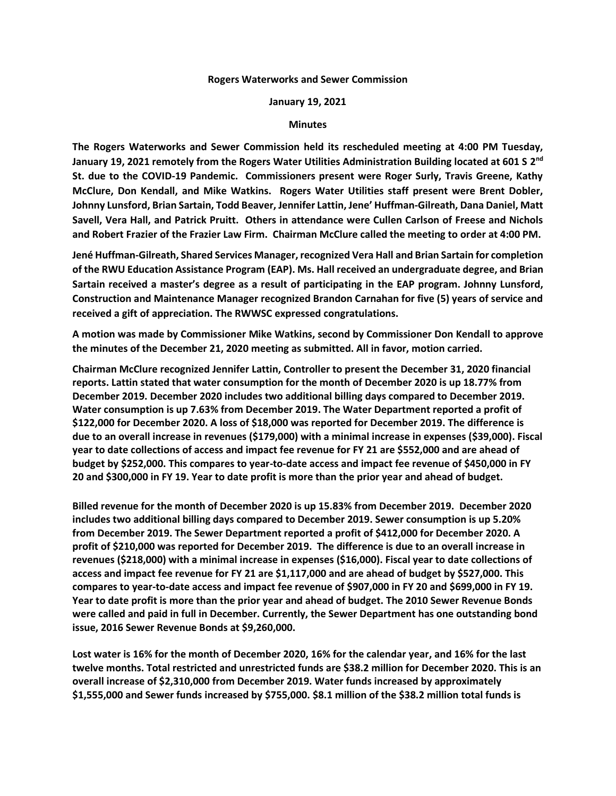## **Rogers Waterworks and Sewer Commission**

## **January 19, 2021**

## **Minutes**

**The Rogers Waterworks and Sewer Commission held its rescheduled meeting at 4:00 PM Tuesday, January 19, 2021 remotely from the Rogers Water Utilities Administration Building located at 601 S 2 nd St. due to the COVID-19 Pandemic. Commissioners present were Roger Surly, Travis Greene, Kathy McClure, Don Kendall, and Mike Watkins. Rogers Water Utilities staff present were Brent Dobler, Johnny Lunsford, Brian Sartain, Todd Beaver, Jennifer Lattin, Jene' Huffman-Gilreath, Dana Daniel, Matt Savell, Vera Hall, and Patrick Pruitt. Others in attendance were Cullen Carlson of Freese and Nichols and Robert Frazier of the Frazier Law Firm. Chairman McClure called the meeting to order at 4:00 PM.**

**Jené Huffman-Gilreath, Shared Services Manager, recognized Vera Hall and Brian Sartain for completion of the RWU Education Assistance Program (EAP). Ms. Hall received an undergraduate degree, and Brian Sartain received a master's degree as a result of participating in the EAP program. Johnny Lunsford, Construction and Maintenance Manager recognized Brandon Carnahan for five (5) years of service and received a gift of appreciation. The RWWSC expressed congratulations.** 

**A motion was made by Commissioner Mike Watkins, second by Commissioner Don Kendall to approve the minutes of the December 21, 2020 meeting as submitted. All in favor, motion carried.**

**Chairman McClure recognized Jennifer Lattin, Controller to present the December 31, 2020 financial reports. Lattin stated that water consumption for the month of December 2020 is up 18.77% from December 2019. December 2020 includes two additional billing days compared to December 2019. Water consumption is up 7.63% from December 2019. The Water Department reported a profit of \$122,000 for December 2020. A loss of \$18,000 was reported for December 2019. The difference is due to an overall increase in revenues (\$179,000) with a minimal increase in expenses (\$39,000). Fiscal year to date collections of access and impact fee revenue for FY 21 are \$552,000 and are ahead of budget by \$252,000. This compares to year-to-date access and impact fee revenue of \$450,000 in FY 20 and \$300,000 in FY 19. Year to date profit is more than the prior year and ahead of budget.** 

**Billed revenue for the month of December 2020 is up 15.83% from December 2019. December 2020 includes two additional billing days compared to December 2019. Sewer consumption is up 5.20% from December 2019. The Sewer Department reported a profit of \$412,000 for December 2020. A profit of \$210,000 was reported for December 2019. The difference is due to an overall increase in revenues (\$218,000) with a minimal increase in expenses (\$16,000). Fiscal year to date collections of access and impact fee revenue for FY 21 are \$1,117,000 and are ahead of budget by \$527,000. This compares to year-to-date access and impact fee revenue of \$907,000 in FY 20 and \$699,000 in FY 19. Year to date profit is more than the prior year and ahead of budget. The 2010 Sewer Revenue Bonds were called and paid in full in December. Currently, the Sewer Department has one outstanding bond issue, 2016 Sewer Revenue Bonds at \$9,260,000.**

**Lost water is 16% for the month of December 2020, 16% for the calendar year, and 16% for the last twelve months. Total restricted and unrestricted funds are \$38.2 million for December 2020. This is an overall increase of \$2,310,000 from December 2019. Water funds increased by approximately \$1,555,000 and Sewer funds increased by \$755,000. \$8.1 million of the \$38.2 million total funds is**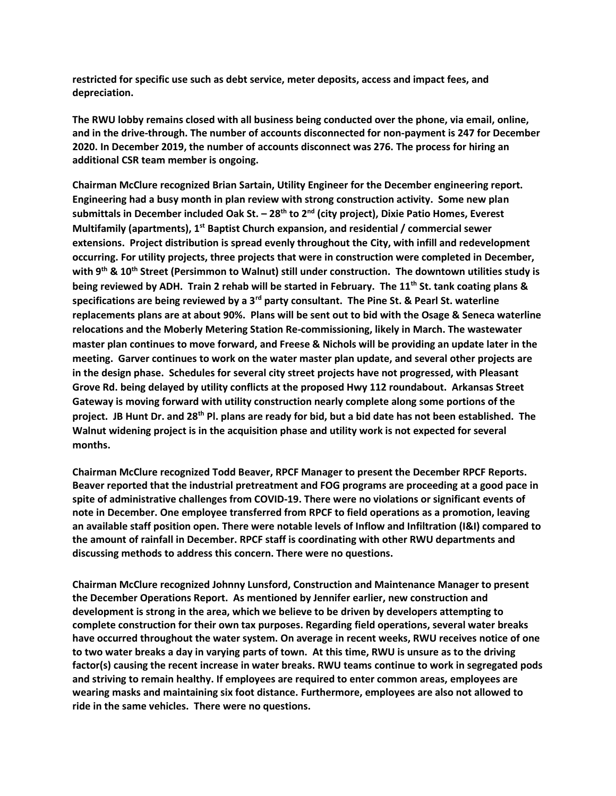**restricted for specific use such as debt service, meter deposits, access and impact fees, and depreciation.** 

**The RWU lobby remains closed with all business being conducted over the phone, via email, online, and in the drive-through. The number of accounts disconnected for non-payment is 247 for December 2020. In December 2019, the number of accounts disconnect was 276. The process for hiring an additional CSR team member is ongoing.** 

**Chairman McClure recognized Brian Sartain, Utility Engineer for the December engineering report. Engineering had a busy month in plan review with strong construction activity. Some new plan submittals in December included Oak St. – 28th to 2nd (city project), Dixie Patio Homes, Everest Multifamily (apartments), 1st Baptist Church expansion, and residential / commercial sewer extensions. Project distribution is spread evenly throughout the City, with infill and redevelopment occurring. For utility projects, three projects that were in construction were completed in December, with 9th & 10th Street (Persimmon to Walnut) still under construction. The downtown utilities study is being reviewed by ADH. Train 2 rehab will be started in February. The 11th St. tank coating plans & specifications are being reviewed by a 3rd party consultant. The Pine St. & Pearl St. waterline replacements plans are at about 90%. Plans will be sent out to bid with the Osage & Seneca waterline relocations and the Moberly Metering Station Re-commissioning, likely in March. The wastewater master plan continues to move forward, and Freese & Nichols will be providing an update later in the meeting. Garver continues to work on the water master plan update, and several other projects are in the design phase. Schedules for several city street projects have not progressed, with Pleasant Grove Rd. being delayed by utility conflicts at the proposed Hwy 112 roundabout. Arkansas Street Gateway is moving forward with utility construction nearly complete along some portions of the project. JB Hunt Dr. and 28th Pl. plans are ready for bid, but a bid date has not been established. The Walnut widening project is in the acquisition phase and utility work is not expected for several months.**

**Chairman McClure recognized Todd Beaver, RPCF Manager to present the December RPCF Reports. Beaver reported that the industrial pretreatment and FOG programs are proceeding at a good pace in spite of administrative challenges from COVID-19. There were no violations or significant events of note in December. One employee transferred from RPCF to field operations as a promotion, leaving an available staff position open. There were notable levels of Inflow and Infiltration (I&I) compared to the amount of rainfall in December. RPCF staff is coordinating with other RWU departments and discussing methods to address this concern. There were no questions.** 

**Chairman McClure recognized Johnny Lunsford, Construction and Maintenance Manager to present the December Operations Report. As mentioned by Jennifer earlier, new construction and development is strong in the area, which we believe to be driven by developers attempting to complete construction for their own tax purposes. Regarding field operations, several water breaks have occurred throughout the water system. On average in recent weeks, RWU receives notice of one to two water breaks a day in varying parts of town. At this time, RWU is unsure as to the driving factor(s) causing the recent increase in water breaks. RWU teams continue to work in segregated pods and striving to remain healthy. If employees are required to enter common areas, employees are wearing masks and maintaining six foot distance. Furthermore, employees are also not allowed to ride in the same vehicles. There were no questions.**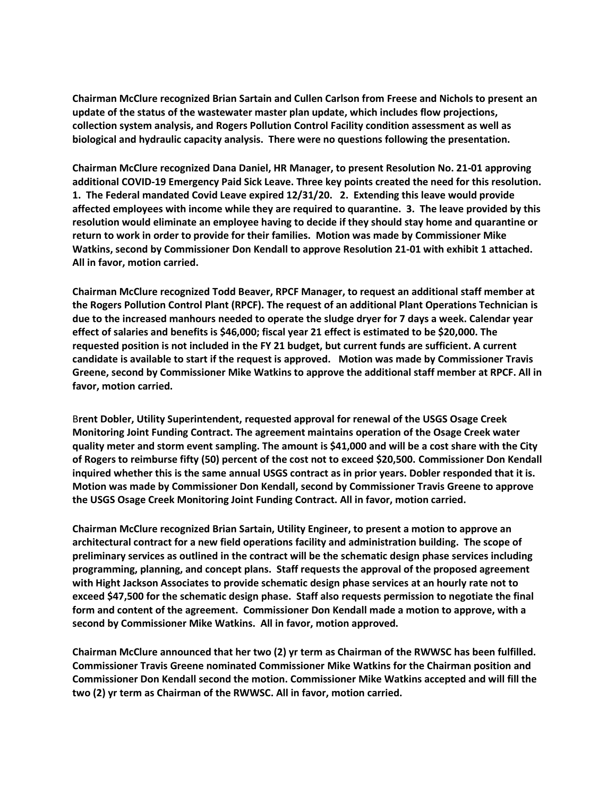**Chairman McClure recognized Brian Sartain and Cullen Carlson from Freese and Nichols to present an update of the status of the wastewater master plan update, which includes flow projections, collection system analysis, and Rogers Pollution Control Facility condition assessment as well as biological and hydraulic capacity analysis. There were no questions following the presentation.**

**Chairman McClure recognized Dana Daniel, HR Manager, to present Resolution No. 21-01 approving additional COVID-19 Emergency Paid Sick Leave. Three key points created the need for this resolution. 1. The Federal mandated Covid Leave expired 12/31/20. 2. Extending this leave would provide affected employees with income while they are required to quarantine. 3. The leave provided by this resolution would eliminate an employee having to decide if they should stay home and quarantine or return to work in order to provide for their families. Motion was made by Commissioner Mike Watkins, second by Commissioner Don Kendall to approve Resolution 21-01 with exhibit 1 attached. All in favor, motion carried.** 

**Chairman McClure recognized Todd Beaver, RPCF Manager, to request an additional staff member at the Rogers Pollution Control Plant (RPCF). The request of an additional Plant Operations Technician is due to the increased manhours needed to operate the sludge dryer for 7 days a week. Calendar year effect of salaries and benefits is \$46,000; fiscal year 21 effect is estimated to be \$20,000. The requested position is not included in the FY 21 budget, but current funds are sufficient. A current candidate is available to start if the request is approved. Motion was made by Commissioner Travis Greene, second by Commissioner Mike Watkins to approve the additional staff member at RPCF. All in favor, motion carried.** 

B**rent Dobler, Utility Superintendent, requested approval for renewal of the USGS Osage Creek Monitoring Joint Funding Contract. The agreement maintains operation of the Osage Creek water quality meter and storm event sampling. The amount is \$41,000 and will be a cost share with the City of Rogers to reimburse fifty (50) percent of the cost not to exceed \$20,500. Commissioner Don Kendall inquired whether this is the same annual USGS contract as in prior years. Dobler responded that it is. Motion was made by Commissioner Don Kendall, second by Commissioner Travis Greene to approve the USGS Osage Creek Monitoring Joint Funding Contract. All in favor, motion carried.** 

**Chairman McClure recognized Brian Sartain, Utility Engineer, to present a motion to approve an architectural contract for a new field operations facility and administration building. The scope of preliminary services as outlined in the contract will be the schematic design phase services including programming, planning, and concept plans. Staff requests the approval of the proposed agreement with Hight Jackson Associates to provide schematic design phase services at an hourly rate not to exceed \$47,500 for the schematic design phase. Staff also requests permission to negotiate the final form and content of the agreement. Commissioner Don Kendall made a motion to approve, with a second by Commissioner Mike Watkins. All in favor, motion approved.**

**Chairman McClure announced that her two (2) yr term as Chairman of the RWWSC has been fulfilled. Commissioner Travis Greene nominated Commissioner Mike Watkins for the Chairman position and Commissioner Don Kendall second the motion. Commissioner Mike Watkins accepted and will fill the two (2) yr term as Chairman of the RWWSC. All in favor, motion carried.**